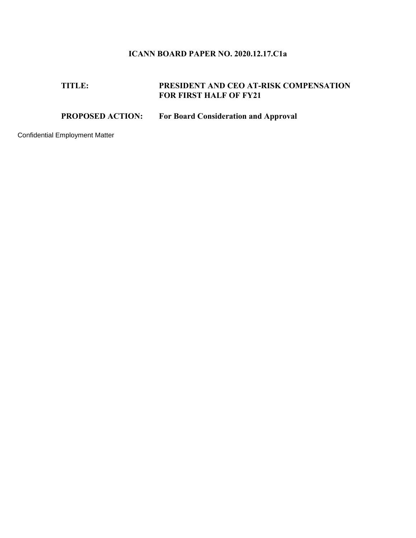## **ICANN BOARD PAPER NO. 2020.12.17.C1a**

## **TITLE: PRESIDENT AND CEO AT-RISK COMPENSATION FOR FIRST HALF OF FY21**

## **PROPOSED ACTION: For Board Consideration and Approval**

Confidential Employment Matter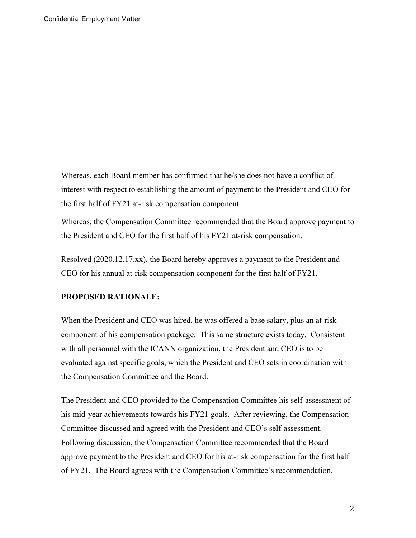Whereas, each Board member has confirmed that he/she does not have a conflict of interest with respect to establishing the amount of payment to the President and CEO for the first half of FY21 at-risk compensation component.

Whereas, the Compensation Committee recommended that the Board approve payment to the President and CEO for the first half of his FY21 at-risk compensation.

Resolved (2020.12.17.xx), the Board hereby approves a payment to the President and CEO for his annual at-risk compensation component for the first half of FY21.

## **PROPOSED RATIONALE:**

When the President and CEO was hired, he was offered a base salary, plus an at-risk component of his compensation package. This same structure exists today. Consistent with all personnel with the ICANN organization, the President and CEO is to be evaluated against specific goals, which the President and CEO sets in coordination with the Compensation Committee and the Board.

The President and CEO provided to the Compensation Committee his self-assessment of his mid-year achievements towards his FY21 goals. After reviewing, the Compensation Committee discussed and agreed with the President and CEO's self-assessment. Following discussion, the Compensation Committee recommended that the Board approve payment to the President and CEO for his at-risk compensation for the first half of FY21. The Board agrees with the Compensation Committee's recommendation.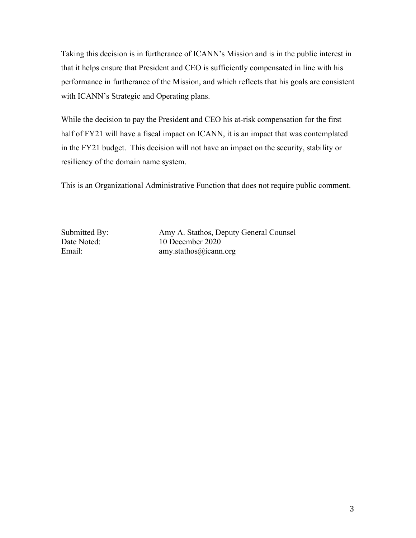Taking this decision is in furtherance of ICANN's Mission and is in the public interest in that it helps ensure that President and CEO is sufficiently compensated in line with his performance in furtherance of the Mission, and which reflects that his goals are consistent with ICANN's Strategic and Operating plans.

While the decision to pay the President and CEO his at-risk compensation for the first half of FY21 will have a fiscal impact on ICANN, it is an impact that was contemplated in the FY21 budget. This decision will not have an impact on the security, stability or resiliency of the domain name system.

This is an Organizational Administrative Function that does not require public comment.

Submitted By: Amy A. Stathos, Deputy General Counsel Date Noted: 10 December 2020 Email: amy.stathos@icann.org